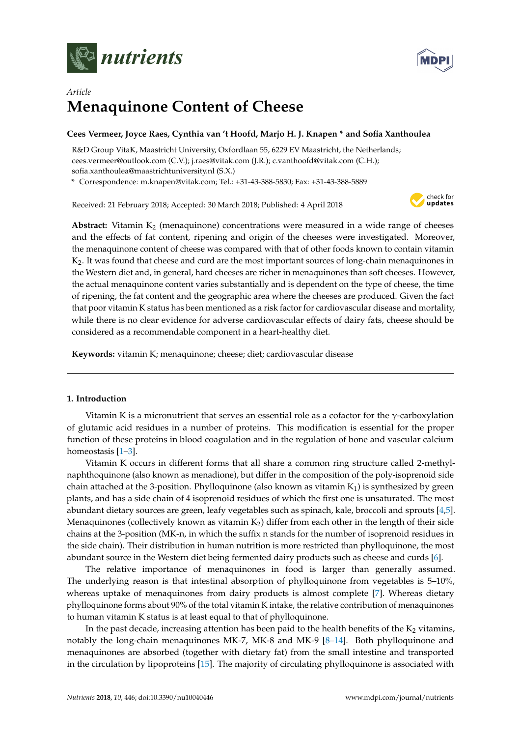



# *Article* **Menaquinone Content of Cheese**

# **Cees Vermeer, Joyce Raes, Cynthia van 't Hoofd, Marjo H. J. Knapen \* and Sofia Xanthoulea**

R&D Group VitaK, Maastricht University, Oxfordlaan 55, 6229 EV Maastricht, the Netherlands; cees.vermeer@outlook.com (C.V.); j.raes@vitak.com (J.R.); c.vanthoofd@vitak.com (C.H.); sofia.xanthoulea@maastrichtuniversity.nl (S.X.)

**\*** Correspondence: m.knapen@vitak.com; Tel.: +31-43-388-5830; Fax: +31-43-388-5889

Received: 21 February 2018; Accepted: 30 March 2018; Published: 4 April 2018



**Abstract:** Vitamin  $K_2$  (menaquinone) concentrations were measured in a wide range of cheeses and the effects of fat content, ripening and origin of the cheeses were investigated. Moreover, the menaquinone content of cheese was compared with that of other foods known to contain vitamin K2. It was found that cheese and curd are the most important sources of long-chain menaquinones in the Western diet and, in general, hard cheeses are richer in menaquinones than soft cheeses. However, the actual menaquinone content varies substantially and is dependent on the type of cheese, the time of ripening, the fat content and the geographic area where the cheeses are produced. Given the fact that poor vitamin K status has been mentioned as a risk factor for cardiovascular disease and mortality, while there is no clear evidence for adverse cardiovascular effects of dairy fats, cheese should be considered as a recommendable component in a heart-healthy diet.

**Keywords:** vitamin K; menaquinone; cheese; diet; cardiovascular disease

# **1. Introduction**

Vitamin K is a micronutrient that serves an essential role as a cofactor for the  $\gamma$ -carboxylation of glutamic acid residues in a number of proteins. This modification is essential for the proper function of these proteins in blood coagulation and in the regulation of bone and vascular calcium homeostasis [\[1](#page-6-0)[–3\]](#page-6-1).

Vitamin K occurs in different forms that all share a common ring structure called 2-methylnaphthoquinone (also known as menadione), but differ in the composition of the poly-isoprenoid side chain attached at the 3-position. Phylloquinone (also known as vitamin  $K_1$ ) is synthesized by green plants, and has a side chain of 4 isoprenoid residues of which the first one is unsaturated. The most abundant dietary sources are green, leafy vegetables such as spinach, kale, broccoli and sprouts [\[4,](#page-6-2)[5\]](#page-6-3). Menaquinones (collectively known as vitamin  $K<sub>2</sub>$ ) differ from each other in the length of their side chains at the 3-position (MK-n, in which the suffix n stands for the number of isoprenoid residues in the side chain). Their distribution in human nutrition is more restricted than phylloquinone, the most abundant source in the Western diet being fermented dairy products such as cheese and curds [\[6\]](#page-6-4).

The relative importance of menaquinones in food is larger than generally assumed. The underlying reason is that intestinal absorption of phylloquinone from vegetables is 5–10%, whereas uptake of menaquinones from dairy products is almost complete [\[7\]](#page-6-5). Whereas dietary phylloquinone forms about 90% of the total vitamin K intake, the relative contribution of menaquinones to human vitamin K status is at least equal to that of phylloquinone.

In the past decade, increasing attention has been paid to the health benefits of the  $K<sub>2</sub>$  vitamins, notably the long-chain menaquinones MK-7, MK-8 and MK-9 [\[8](#page-6-6)[–14\]](#page-7-0). Both phylloquinone and menaquinones are absorbed (together with dietary fat) from the small intestine and transported in the circulation by lipoproteins [\[15\]](#page-7-1). The majority of circulating phylloquinone is associated with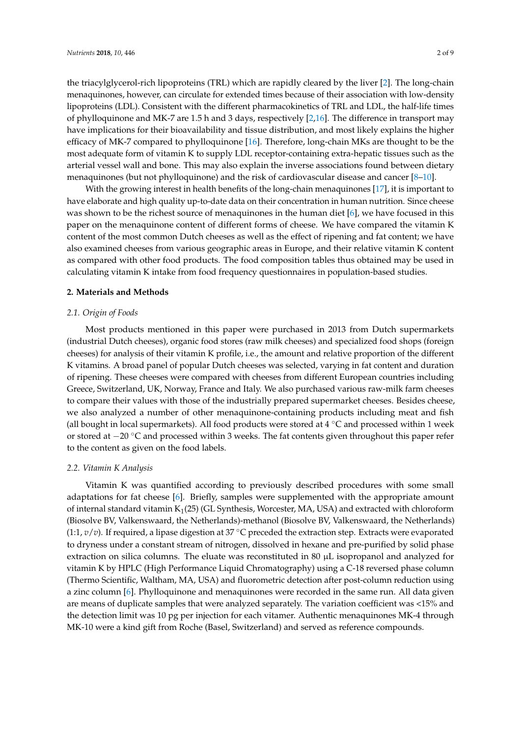the triacylglycerol-rich lipoproteins (TRL) which are rapidly cleared by the liver [\[2\]](#page-6-7). The long-chain menaquinones, however, can circulate for extended times because of their association with low-density lipoproteins (LDL). Consistent with the different pharmacokinetics of TRL and LDL, the half-life times of phylloquinone and MK-7 are 1.5 h and 3 days, respectively [\[2,](#page-6-7)[16\]](#page-7-2). The difference in transport may have implications for their bioavailability and tissue distribution, and most likely explains the higher efficacy of MK-7 compared to phylloquinone [\[16\]](#page-7-2). Therefore, long-chain MKs are thought to be the most adequate form of vitamin K to supply LDL receptor-containing extra-hepatic tissues such as the arterial vessel wall and bone. This may also explain the inverse associations found between dietary menaquinones (but not phylloquinone) and the risk of cardiovascular disease and cancer [\[8](#page-6-6)[–10\]](#page-7-3).

With the growing interest in health benefits of the long-chain menaquinones [\[17\]](#page-7-4), it is important to have elaborate and high quality up-to-date data on their concentration in human nutrition. Since cheese was shown to be the richest source of menaquinones in the human diet [\[6\]](#page-6-4), we have focused in this paper on the menaquinone content of different forms of cheese. We have compared the vitamin K content of the most common Dutch cheeses as well as the effect of ripening and fat content; we have also examined cheeses from various geographic areas in Europe, and their relative vitamin K content as compared with other food products. The food composition tables thus obtained may be used in calculating vitamin K intake from food frequency questionnaires in population-based studies.

## **2. Materials and Methods**

#### *2.1. Origin of Foods*

Most products mentioned in this paper were purchased in 2013 from Dutch supermarkets (industrial Dutch cheeses), organic food stores (raw milk cheeses) and specialized food shops (foreign cheeses) for analysis of their vitamin K profile, i.e., the amount and relative proportion of the different K vitamins. A broad panel of popular Dutch cheeses was selected, varying in fat content and duration of ripening. These cheeses were compared with cheeses from different European countries including Greece, Switzerland, UK, Norway, France and Italy. We also purchased various raw-milk farm cheeses to compare their values with those of the industrially prepared supermarket cheeses. Besides cheese, we also analyzed a number of other menaquinone-containing products including meat and fish (all bought in local supermarkets). All food products were stored at  $4 °C$  and processed within 1 week or stored at −20 ◦C and processed within 3 weeks. The fat contents given throughout this paper refer to the content as given on the food labels.

#### *2.2. Vitamin K Analysis*

Vitamin K was quantified according to previously described procedures with some small adaptations for fat cheese [\[6\]](#page-6-4). Briefly, samples were supplemented with the appropriate amount of internal standard vitamin  $K_1(25)$  (GL Synthesis, Worcester, MA, USA) and extracted with chloroform (Biosolve BV, Valkenswaard, the Netherlands)-methanol (Biosolve BV, Valkenswaard, the Netherlands)  $(1:1, v/v)$ . If required, a lipase digestion at 37  $\degree$ C preceded the extraction step. Extracts were evaporated to dryness under a constant stream of nitrogen, dissolved in hexane and pre-purified by solid phase extraction on silica columns. The eluate was reconstituted in 80  $\mu$ L isopropanol and analyzed for vitamin K by HPLC (High Performance Liquid Chromatography) using a C-18 reversed phase column (Thermo Scientific, Waltham, MA, USA) and fluorometric detection after post-column reduction using a zinc column [\[6\]](#page-6-4). Phylloquinone and menaquinones were recorded in the same run. All data given are means of duplicate samples that were analyzed separately. The variation coefficient was <15% and the detection limit was 10 pg per injection for each vitamer. Authentic menaquinones MK-4 through MK-10 were a kind gift from Roche (Basel, Switzerland) and served as reference compounds.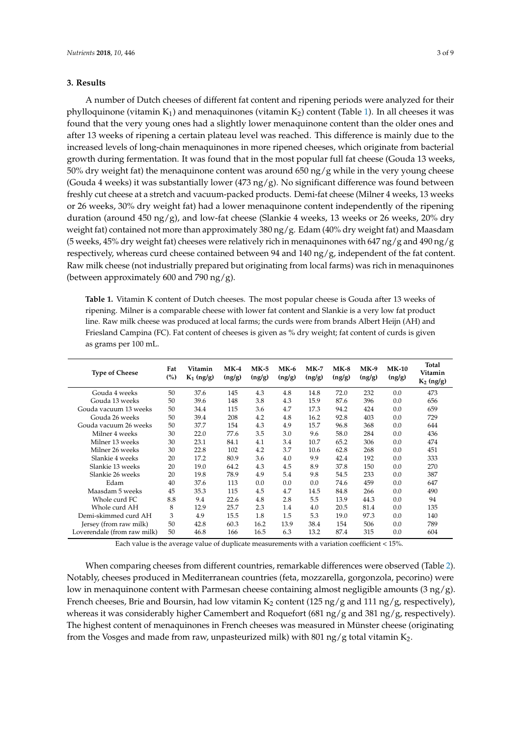# **3. Results**

A number of Dutch cheeses of different fat content and ripening periods were analyzed for their phylloquinone (vitamin  $K_1$ ) and menaquinones (vitamin  $K_2$ ) content (Table [1\)](#page-2-0). In all cheeses it was found that the very young ones had a slightly lower menaquinone content than the older ones and after 13 weeks of ripening a certain plateau level was reached. This difference is mainly due to the increased levels of long-chain menaquinones in more ripened cheeses, which originate from bacterial growth during fermentation. It was found that in the most popular full fat cheese (Gouda 13 weeks, 50% dry weight fat) the menaquinone content was around 650 ng/g while in the very young cheese (Gouda 4 weeks) it was substantially lower (473 ng/g). No significant difference was found between freshly cut cheese at a stretch and vacuum-packed products. Demi-fat cheese (Milner 4 weeks, 13 weeks or 26 weeks, 30% dry weight fat) had a lower menaquinone content independently of the ripening duration (around 450 ng/g), and low-fat cheese (Slankie 4 weeks, 13 weeks or 26 weeks, 20% dry weight fat) contained not more than approximately 380 ng/g. Edam (40% dry weight fat) and Maasdam (5 weeks, 45% dry weight fat) cheeses were relatively rich in menaquinones with 647 ng/g and 490 ng/g respectively, whereas curd cheese contained between 94 and 140 ng/g, independent of the fat content. Raw milk cheese (not industrially prepared but originating from local farms) was rich in menaquinones (between approximately 600 and 790 ng/g).

<span id="page-2-0"></span>**Table 1.** Vitamin K content of Dutch cheeses. The most popular cheese is Gouda after 13 weeks of ripening. Milner is a comparable cheese with lower fat content and Slankie is a very low fat product line. Raw milk cheese was produced at local farms; the curds were from brands Albert Heijn (AH) and Friesland Campina (FC). Fat content of cheeses is given as % dry weight; fat content of curds is given as grams per 100 mL.

| <b>Type of Cheese</b>       | Fat<br>(%) | Vitamin<br>$K_1$ (ng/g) | $MK-4$<br>(ng/g) | $MK-5$<br>(ng/g) | $MK-6$<br>(ng/g) | $MK-7$<br>(ng/g) | $MK-8$<br>(ng/g) | $MK-9$<br>(ng/g) | $MK-10$<br>(ng/g) | Total<br>Vitamin<br>$K_2$ (ng/g) |
|-----------------------------|------------|-------------------------|------------------|------------------|------------------|------------------|------------------|------------------|-------------------|----------------------------------|
| Gouda 4 weeks               | 50         | 37.6                    | 145              | 4.3              | 4.8              | 14.8             | 72.0             | 232              | 0.0               | 473                              |
| Gouda 13 weeks              | 50         | 39.6                    | 148              | 3.8              | 4.3              | 15.9             | 87.6             | 396              | 0.0               | 656                              |
| Gouda vacuum 13 weeks       | 50         | 34.4                    | 115              | 3.6              | 4.7              | 17.3             | 94.2             | 424              | 0.0               | 659                              |
| Gouda 26 weeks              | 50         | 39.4                    | 208              | 4.2              | 4.8              | 16.2             | 92.8             | 403              | 0.0               | 729                              |
| Gouda vacuum 26 weeks       | 50         | 37.7                    | 154              | 4.3              | 4.9              | 15.7             | 96.8             | 368              | 0.0               | 644                              |
| Milner 4 weeks              | 30         | 22.0                    | 77.6             | 3.5              | 3.0              | 9.6              | 58.0             | 284              | 0.0               | 436                              |
| Milner 13 weeks             | 30         | 23.1                    | 84.1             | 4.1              | 3.4              | 10.7             | 65.2             | 306              | 0.0               | 474                              |
| Milner 26 weeks             | 30         | 22.8                    | 102              | 4.2              | 3.7              | 10.6             | 62.8             | 268              | 0.0               | 451                              |
| Slankie 4 weeks             | 20         | 17.2                    | 80.9             | 3.6              | 4.0              | 9.9              | 42.4             | 192              | 0.0               | 333                              |
| Slankie 13 weeks            | 20         | 19.0                    | 64.2             | 4.3              | 4.5              | 8.9              | 37.8             | 150              | 0.0               | 270                              |
| Slankie 26 weeks            | 20         | 19.8                    | 78.9             | 4.9              | 5.4              | 9.8              | 54.5             | 233              | 0.0               | 387                              |
| Edam                        | 40         | 37.6                    | 113              | 0.0              | 0.0              | 0.0              | 74.6             | 459              | 0.0               | 647                              |
| Maasdam 5 weeks             | 45         | 35.3                    | 115              | 4.5              | 4.7              | 14.5             | 84.8             | 266              | 0.0               | 490                              |
| Whole curd FC.              | 8.8        | 9.4                     | 22.6             | 4.8              | 2.8              | 5.5              | 13.9             | 44.3             | 0.0               | 94                               |
| Whole curd AH               | 8          | 12.9                    | 25.7             | 2.3              | 1.4              | 4.0              | 20.5             | 81.4             | 0.0               | 135                              |
| Demi-skimmed curd AH        | 3          | 4.9                     | 15.5             | 1.8              | 1.5              | 5.3              | 19.0             | 97.3             | 0.0               | 140                              |
| Jersey (from raw milk)      | 50         | 42.8                    | 60.3             | 16.2             | 13.9             | 38.4             | 154              | 506              | 0.0               | 789                              |
| Loverendale (from raw milk) | 50         | 46.8                    | 166              | 16.5             | 6.3              | 13.2             | 87.4             | 315              | 0.0               | 604                              |

Each value is the average value of duplicate measurements with a variation coefficient < 15%.

When comparing cheeses from different countries, remarkable differences were observed (Table [2\)](#page-3-0). Notably, cheeses produced in Mediterranean countries (feta, mozzarella, gorgonzola, pecorino) were low in menaquinone content with Parmesan cheese containing almost negligible amounts (3 ng/g). French cheeses, Brie and Boursin, had low vitamin K<sub>2</sub> content (125 ng/g and 111 ng/g, respectively), whereas it was considerably higher Camembert and Roquefort (681 ng/g and 381 ng/g, respectively). The highest content of menaquinones in French cheeses was measured in Münster cheese (originating from the Vosges and made from raw, unpasteurized milk) with 801 ng/g total vitamin  $K_2$ .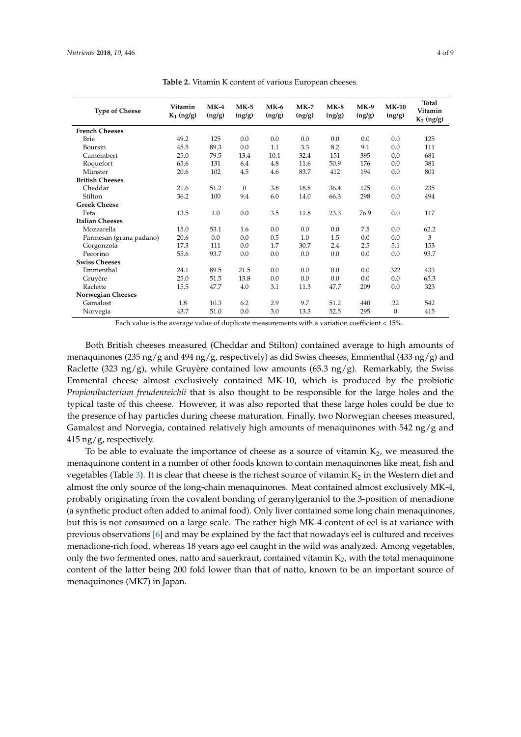<span id="page-3-0"></span>

| <b>Type of Cheese</b>   | Vitamin<br>$K_1$ (ng/g) | $MK-4$<br>(ng/g) | $MK-5$<br>(ng/g) | $MK-6$<br>(ng/g) | $MK-7$<br>(ng/g) | $MK-8$<br>(ng/g) | $MK-9$<br>(ng/g) | $MK-10$<br>(ng/g) | <b>Total</b><br>Vitamin<br>$K_2$ (ng/g) |
|-------------------------|-------------------------|------------------|------------------|------------------|------------------|------------------|------------------|-------------------|-----------------------------------------|
| <b>French Cheeses</b>   |                         |                  |                  |                  |                  |                  |                  |                   |                                         |
| <b>Brie</b>             | 49.2                    | 125              | 0.0              | 0.0              | 0.0              | 0.0              | 0.0              | 0.0               | 125                                     |
| Boursin                 | 45.5                    | 89.3             | 0.0              | 1.1              | 3.3              | 8.2              | 9.1              | 0.0               | 111                                     |
| Camembert               | 25.0                    | 79.5             | 13.4             | 10.1             | 32.4             | 151              | 395              | 0.0               | 681                                     |
| Roquefort               | 65.6                    | 131              | 6.4              | 4.8              | 11.6             | 50.9             | 176              | 0.0               | 381                                     |
| Münster                 | 20.6                    | 102              | 4.5              | 4.6              | 83.7             | 412              | 194              | 0.0               | 801                                     |
| <b>British Cheeses</b>  |                         |                  |                  |                  |                  |                  |                  |                   |                                         |
| Cheddar                 | 21.6                    | 51.2             | $\mathbf{0}$     | 3.8              | 18.8             | 36.4             | 125              | 0.0               | 235                                     |
| Stilton                 | 36.2                    | 100              | 9.4              | 6.0              | 14.0             | 66.3             | 298              | 0.0               | 494                                     |
| <b>Greek Cheese</b>     |                         |                  |                  |                  |                  |                  |                  |                   |                                         |
| Feta                    | 13.5                    | 1.0              | 0.0              | 3.5              | 11.8             | 23.3             | 76.9             | 0.0               | 117                                     |
| <b>Italian Cheeses</b>  |                         |                  |                  |                  |                  |                  |                  |                   |                                         |
| Mozzarella              | 15.0                    | 53.1             | 1.6              | 0.0              | 0.0              | 0.0              | 7.5              | 0.0               | 62.2                                    |
| Parmesan (grana padano) | 20.6                    | 0.0              | 0.0              | 0.5              | 1.0              | 1.5              | 0.0              | 0.0               | 3                                       |
| Gorgonzola              | 17.3                    | 111              | 0.0              | 1.7              | 30.7             | 2.4              | 2.5              | 5.1               | 153                                     |
| Pecorino                | 55.6                    | 93.7             | 0.0              | 0.0              | 0.0              | 0.0              | 0.0              | 0.0               | 93.7                                    |
| <b>Swiss Cheeses</b>    |                         |                  |                  |                  |                  |                  |                  |                   |                                         |
| Emmenthal               | 24.1                    | 89.5             | 21.5             | 0.0              | 0.0              | 0.0              | 0.0              | 322               | 433                                     |
| Gruyère                 | 25.0                    | 51.5             | 13.8             | 0.0              | 0.0              | 0.0              | 0.0              | 0.0               | 65.3                                    |
| Raclette                | 15.5                    | 47.7             | 4.0              | 3.1              | 11.3             | 47.7             | 209              | 0.0               | 323                                     |
| Norwegian Cheeses       |                         |                  |                  |                  |                  |                  |                  |                   |                                         |
| Gamalost                | 1.8                     | 10.3             | 6.2              | 2.9              | 9.7              | 51.2             | 440              | 22                | 542                                     |
| Norvegia                | 43.7                    | 51.0             | 0.0              | 3.0              | 13.3             | 52.5             | 295              | $\mathbf{0}$      | 415                                     |

**Table 2.** Vitamin K content of various European cheeses.

Each value is the average value of duplicate measurements with a variation coefficient < 15%.

Both British cheeses measured (Cheddar and Stilton) contained average to high amounts of menaquinones (235 ng/g and 494 ng/g, respectively) as did Swiss cheeses, Emmenthal (433 ng/g) and Raclette (323 ng/g), while Gruyère contained low amounts (65.3 ng/g). Remarkably, the Swiss Emmental cheese almost exclusively contained MK-10, which is produced by the probiotic *Propionibacterium freudenreichii* that is also thought to be responsible for the large holes and the typical taste of this cheese. However, it was also reported that these large holes could be due to the presence of hay particles during cheese maturation. Finally, two Norwegian cheeses measured, Gamalost and Norvegia, contained relatively high amounts of menaquinones with  $542$  ng/g and 415 ng/g, respectively.

To be able to evaluate the importance of cheese as a source of vitamin  $K<sub>2</sub>$ , we measured the menaquinone content in a number of other foods known to contain menaquinones like meat, fish and vegetables (Table [3\)](#page-4-0). It is clear that cheese is the richest source of vitamin  $K_2$  in the Western diet and almost the only source of the long-chain menaquinones. Meat contained almost exclusively MK-4, probably originating from the covalent bonding of geranylgeraniol to the 3-position of menadione (a synthetic product often added to animal food). Only liver contained some long chain menaquinones, but this is not consumed on a large scale. The rather high MK-4 content of eel is at variance with previous observations [\[6\]](#page-6-4) and may be explained by the fact that nowadays eel is cultured and receives menadione-rich food, whereas 18 years ago eel caught in the wild was analyzed. Among vegetables, only the two fermented ones, natto and sauerkraut, contained vitamin  $K_2$ , with the total menaquinone content of the latter being 200 fold lower than that of natto, known to be an important source of menaquinones (MK7) in Japan.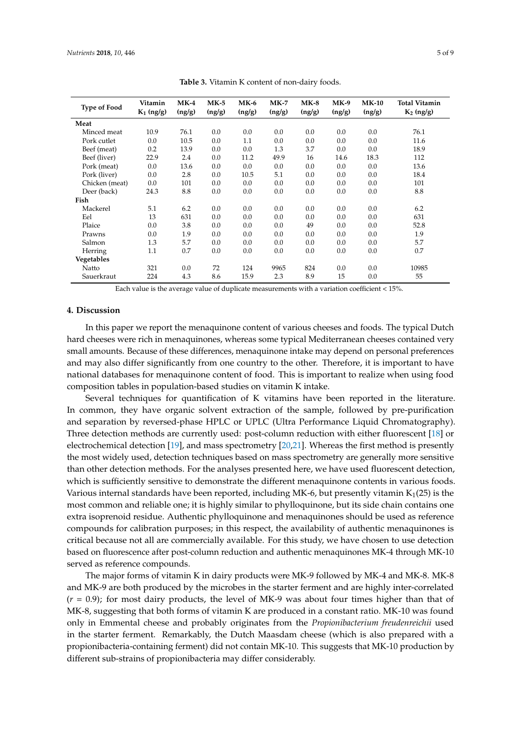<span id="page-4-0"></span>

| <b>Type of Food</b> | Vitamin<br>$K_1$ (ng/g) | $MK-4$<br>(ng/g) | $MK-5$<br>(ng/g) | $MK-6$<br>(ng/g) | $MK-7$<br>(ng/g) | $MK-8$<br>(ng/g) | $MK-9$<br>(ng/g) | <b>MK-10</b><br>(ng/g) | <b>Total Vitamin</b><br>$K_2$ (ng/g) |
|---------------------|-------------------------|------------------|------------------|------------------|------------------|------------------|------------------|------------------------|--------------------------------------|
| Meat                |                         |                  |                  |                  |                  |                  |                  |                        |                                      |
| Minced meat         | 10.9                    | 76.1             | 0.0              | 0.0              | 0.0              | 0.0              | 0.0              | 0.0                    | 76.1                                 |
| Pork cutlet         | 0.0                     | 10.5             | 0.0              | 1.1              | 0.0              | 0.0              | 0.0              | 0.0                    | 11.6                                 |
| Beef (meat)         | 0.2                     | 13.9             | 0.0              | 0.0              | 1.3              | 3.7              | 0.0              | 0.0                    | 18.9                                 |
| Beef (liver)        | 22.9                    | 2.4              | 0.0              | 11.2             | 49.9             | 16               | 14.6             | 18.3                   | 112                                  |
| Pork (meat)         | 0.0                     | 13.6             | 0.0              | 0.0              | 0.0              | 0.0              | 0.0              | 0.0                    | 13.6                                 |
| Pork (liver)        | 0.0                     | 2.8              | 0.0              | 10.5             | 5.1              | 0.0              | 0.0              | 0.0                    | 18.4                                 |
| Chicken (meat)      | 0.0                     | 101              | 0.0              | 0.0              | 0.0              | 0.0              | 0.0              | 0.0                    | 101                                  |
| Deer (back)         | 24.3                    | 8.8              | 0.0              | 0.0              | 0.0              | 0.0              | 0.0              | 0.0                    | 8.8                                  |
| Fish                |                         |                  |                  |                  |                  |                  |                  |                        |                                      |
| Mackerel            | 5.1                     | 6.2              | 0.0              | 0.0              | 0.0              | 0.0              | 0.0              | 0.0                    | 6.2                                  |
| Eel                 | 13                      | 631              | 0.0              | 0.0              | 0.0              | 0.0              | 0.0              | 0.0                    | 631                                  |
| Plaice              | 0.0                     | 3.8              | 0.0              | 0.0              | 0.0              | 49               | 0.0              | 0.0                    | 52.8                                 |
| Prawns              | 0.0                     | 1.9              | 0.0              | 0.0              | 0.0              | 0.0              | 0.0              | 0.0                    | 1.9                                  |
| Salmon              | 1.3                     | 5.7              | 0.0              | 0.0              | 0.0              | 0.0              | 0.0              | 0.0                    | 5.7                                  |
| Herring             | 1.1                     | 0.7              | 0.0              | 0.0              | 0.0              | 0.0              | 0.0              | 0.0                    | 0.7                                  |
| Vegetables          |                         |                  |                  |                  |                  |                  |                  |                        |                                      |
| Natto               | 321                     | 0.0              | 72               | 124              | 9965             | 824              | 0.0              | 0.0                    | 10985                                |
| Sauerkraut          | 224                     | 4.3              | 8.6              | 15.9             | 2.3              | 8.9              | 15               | 0.0                    | 55                                   |
|                     |                         |                  |                  |                  |                  |                  |                  |                        |                                      |

**Table 3.** Vitamin K content of non-dairy foods.

Each value is the average value of duplicate measurements with a variation coefficient < 15%.

# **4. Discussion**

In this paper we report the menaquinone content of various cheeses and foods. The typical Dutch hard cheeses were rich in menaquinones, whereas some typical Mediterranean cheeses contained very small amounts. Because of these differences, menaquinone intake may depend on personal preferences and may also differ significantly from one country to the other. Therefore, it is important to have national databases for menaquinone content of food. This is important to realize when using food composition tables in population-based studies on vitamin K intake.

Several techniques for quantification of K vitamins have been reported in the literature. In common, they have organic solvent extraction of the sample, followed by pre-purification and separation by reversed-phase HPLC or UPLC (Ultra Performance Liquid Chromatography). Three detection methods are currently used: post-column reduction with either fluorescent [\[18\]](#page-7-5) or electrochemical detection [\[19\]](#page-7-6), and mass spectrometry [\[20,](#page-7-7)[21\]](#page-7-8). Whereas the first method is presently the most widely used, detection techniques based on mass spectrometry are generally more sensitive than other detection methods. For the analyses presented here, we have used fluorescent detection, which is sufficiently sensitive to demonstrate the different menaquinone contents in various foods. Various internal standards have been reported, including MK-6, but presently vitamin  $K_1(25)$  is the most common and reliable one; it is highly similar to phylloquinone, but its side chain contains one extra isoprenoid residue. Authentic phylloquinone and menaquinones should be used as reference compounds for calibration purposes; in this respect, the availability of authentic menaquinones is critical because not all are commercially available. For this study, we have chosen to use detection based on fluorescence after post-column reduction and authentic menaquinones MK-4 through MK-10 served as reference compounds.

The major forms of vitamin K in dairy products were MK-9 followed by MK-4 and MK-8. MK-8 and MK-9 are both produced by the microbes in the starter ferment and are highly inter-correlated (*r* = 0.9); for most dairy products, the level of MK-9 was about four times higher than that of MK-8, suggesting that both forms of vitamin K are produced in a constant ratio. MK-10 was found only in Emmental cheese and probably originates from the *Propionibacterium freudenreichii* used in the starter ferment. Remarkably, the Dutch Maasdam cheese (which is also prepared with a propionibacteria-containing ferment) did not contain MK-10. This suggests that MK-10 production by different sub-strains of propionibacteria may differ considerably.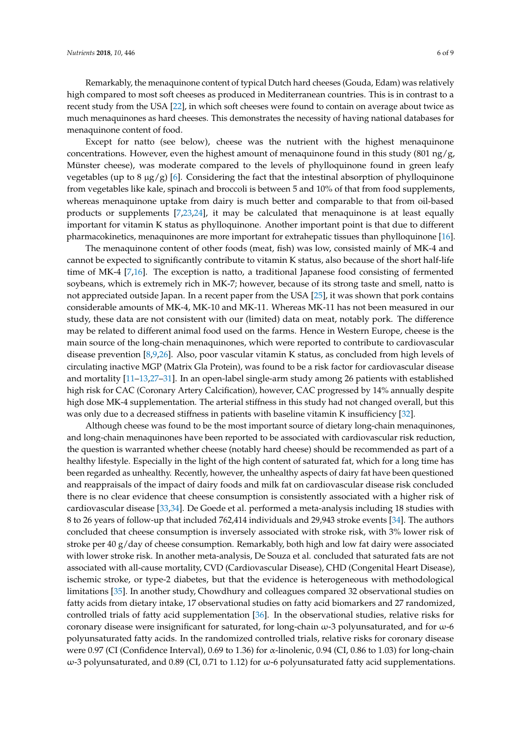Remarkably, the menaquinone content of typical Dutch hard cheeses (Gouda, Edam) was relatively high compared to most soft cheeses as produced in Mediterranean countries. This is in contrast to a recent study from the USA [\[22\]](#page-7-9), in which soft cheeses were found to contain on average about twice as much menaquinones as hard cheeses. This demonstrates the necessity of having national databases for menaquinone content of food.

Except for natto (see below), cheese was the nutrient with the highest menaquinone concentrations. However, even the highest amount of menaquinone found in this study  $(801 \text{ ng/g})$ Münster cheese), was moderate compared to the levels of phylloquinone found in green leafy vegetables (up to 8  $\mu$ g/g) [\[6\]](#page-6-4). Considering the fact that the intestinal absorption of phylloquinone from vegetables like kale, spinach and broccoli is between 5 and 10% of that from food supplements, whereas menaquinone uptake from dairy is much better and comparable to that from oil-based products or supplements [\[7](#page-6-5)[,23](#page-7-10)[,24\]](#page-7-11), it may be calculated that menaquinone is at least equally important for vitamin K status as phylloquinone. Another important point is that due to different pharmacokinetics, menaquinones are more important for extrahepatic tissues than phylloquinone [\[16\]](#page-7-2).

The menaquinone content of other foods (meat, fish) was low, consisted mainly of MK-4 and cannot be expected to significantly contribute to vitamin K status, also because of the short half-life time of MK-4 [\[7](#page-6-5)[,16\]](#page-7-2). The exception is natto, a traditional Japanese food consisting of fermented soybeans, which is extremely rich in MK-7; however, because of its strong taste and smell, natto is not appreciated outside Japan. In a recent paper from the USA [\[25\]](#page-7-12), it was shown that pork contains considerable amounts of MK-4, MK-10 and MK-11. Whereas MK-11 has not been measured in our study, these data are not consistent with our (limited) data on meat, notably pork. The difference may be related to different animal food used on the farms. Hence in Western Europe, cheese is the main source of the long-chain menaquinones, which were reported to contribute to cardiovascular disease prevention [\[8,](#page-6-6)[9,](#page-7-13)[26\]](#page-7-14). Also, poor vascular vitamin K status, as concluded from high levels of circulating inactive MGP (Matrix Gla Protein), was found to be a risk factor for cardiovascular disease and mortality [\[11](#page-7-15)[–13,](#page-7-16)[27–](#page-7-17)[31\]](#page-8-0). In an open-label single-arm study among 26 patients with established high risk for CAC (Coronary Artery Calcification), however, CAC progressed by 14% annually despite high dose MK-4 supplementation. The arterial stiffness in this study had not changed overall, but this was only due to a decreased stiffness in patients with baseline vitamin K insufficiency [\[32\]](#page-8-1).

Although cheese was found to be the most important source of dietary long-chain menaquinones, and long-chain menaquinones have been reported to be associated with cardiovascular risk reduction, the question is warranted whether cheese (notably hard cheese) should be recommended as part of a healthy lifestyle. Especially in the light of the high content of saturated fat, which for a long time has been regarded as unhealthy. Recently, however, the unhealthy aspects of dairy fat have been questioned and reappraisals of the impact of dairy foods and milk fat on cardiovascular disease risk concluded there is no clear evidence that cheese consumption is consistently associated with a higher risk of cardiovascular disease [\[33,](#page-8-2)[34\]](#page-8-3). De Goede et al. performed a meta-analysis including 18 studies with 8 to 26 years of follow-up that included 762,414 individuals and 29,943 stroke events [\[34\]](#page-8-3). The authors concluded that cheese consumption is inversely associated with stroke risk, with 3% lower risk of stroke per 40 g/day of cheese consumption. Remarkably, both high and low fat dairy were associated with lower stroke risk. In another meta-analysis, De Souza et al. concluded that saturated fats are not associated with all-cause mortality, CVD (Cardiovascular Disease), CHD (Congenital Heart Disease), ischemic stroke, or type-2 diabetes, but that the evidence is heterogeneous with methodological limitations [\[35\]](#page-8-4). In another study, Chowdhury and colleagues compared 32 observational studies on fatty acids from dietary intake, 17 observational studies on fatty acid biomarkers and 27 randomized, controlled trials of fatty acid supplementation [\[36\]](#page-8-5). In the observational studies, relative risks for coronary disease were insignificant for saturated, for long-chain  $\omega$ -3 polyunsaturated, and for  $\omega$ -6 polyunsaturated fatty acids. In the randomized controlled trials, relative risks for coronary disease were 0.97 (CI (Confidence Interval), 0.69 to 1.36) for α-linolenic, 0.94 (CI, 0.86 to 1.03) for long-chain  $ω$ -3 polyunsaturated, and 0.89 (CI, 0.71 to 1.12) for  $ω$ -6 polyunsaturated fatty acid supplementations.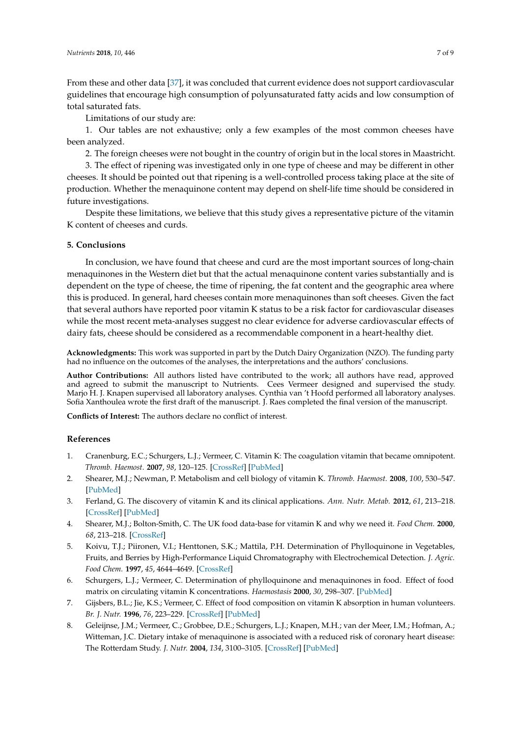From these and other data [\[37\]](#page-8-6), it was concluded that current evidence does not support cardiovascular guidelines that encourage high consumption of polyunsaturated fatty acids and low consumption of total saturated fats.

Limitations of our study are:

1. Our tables are not exhaustive; only a few examples of the most common cheeses have been analyzed.

2. The foreign cheeses were not bought in the country of origin but in the local stores in Maastricht.

3. The effect of ripening was investigated only in one type of cheese and may be different in other cheeses. It should be pointed out that ripening is a well-controlled process taking place at the site of production. Whether the menaquinone content may depend on shelf-life time should be considered in future investigations.

Despite these limitations, we believe that this study gives a representative picture of the vitamin K content of cheeses and curds.

## **5. Conclusions**

In conclusion, we have found that cheese and curd are the most important sources of long-chain menaquinones in the Western diet but that the actual menaquinone content varies substantially and is dependent on the type of cheese, the time of ripening, the fat content and the geographic area where this is produced. In general, hard cheeses contain more menaquinones than soft cheeses. Given the fact that several authors have reported poor vitamin K status to be a risk factor for cardiovascular diseases while the most recent meta-analyses suggest no clear evidence for adverse cardiovascular effects of dairy fats, cheese should be considered as a recommendable component in a heart-healthy diet.

**Acknowledgments:** This work was supported in part by the Dutch Dairy Organization (NZO). The funding party had no influence on the outcomes of the analyses, the interpretations and the authors' conclusions.

**Author Contributions:** All authors listed have contributed to the work; all authors have read, approved and agreed to submit the manuscript to Nutrients. Cees Vermeer designed and supervised the study. Marjo H. J. Knapen supervised all laboratory analyses. Cynthia van 't Hoofd performed all laboratory analyses. Sofia Xanthoulea wrote the first draft of the manuscript. J. Raes completed the final version of the manuscript.

**Conflicts of Interest:** The authors declare no conflict of interest.

## **References**

- <span id="page-6-0"></span>1. Cranenburg, E.C.; Schurgers, L.J.; Vermeer, C. Vitamin K: The coagulation vitamin that became omnipotent. *Thromb. Haemost.* **2007**, *98*, 120–125. [\[CrossRef\]](http://dx.doi.org/10.1160/TH07-04-0266) [\[PubMed\]](http://www.ncbi.nlm.nih.gov/pubmed/17598002)
- <span id="page-6-7"></span>2. Shearer, M.J.; Newman, P. Metabolism and cell biology of vitamin K. *Thromb. Haemost.* **2008**, *100*, 530–547. [\[PubMed\]](http://www.ncbi.nlm.nih.gov/pubmed/18841274)
- <span id="page-6-1"></span>3. Ferland, G. The discovery of vitamin K and its clinical applications. *Ann. Nutr. Metab.* **2012**, *61*, 213–218. [\[CrossRef\]](http://dx.doi.org/10.1159/000343108) [\[PubMed\]](http://www.ncbi.nlm.nih.gov/pubmed/23183291)
- <span id="page-6-2"></span>4. Shearer, M.J.; Bolton-Smith, C. The UK food data-base for vitamin K and why we need it. *Food Chem.* **2000**, *68*, 213–218. [\[CrossRef\]](http://dx.doi.org/10.1016/S0308-8146(99)00157-0)
- <span id="page-6-3"></span>5. Koivu, T.J.; Piironen, V.I.; Henttonen, S.K.; Mattila, P.H. Determination of Phylloquinone in Vegetables, Fruits, and Berries by High-Performance Liquid Chromatography with Electrochemical Detection. *J. Agric. Food Chem.* **1997**, *45*, 4644–4649. [\[CrossRef\]](http://dx.doi.org/10.1021/jf970357v)
- <span id="page-6-4"></span>6. Schurgers, L.J.; Vermeer, C. Determination of phylloquinone and menaquinones in food. Effect of food matrix on circulating vitamin K concentrations. *Haemostasis* **2000**, *30*, 298–307. [\[PubMed\]](http://www.ncbi.nlm.nih.gov/pubmed/11356998)
- <span id="page-6-5"></span>7. Gijsbers, B.L.; Jie, K.S.; Vermeer, C. Effect of food composition on vitamin K absorption in human volunteers. *Br. J. Nutr.* **1996**, *76*, 223–229. [\[CrossRef\]](http://dx.doi.org/10.1079/BJN19960027) [\[PubMed\]](http://www.ncbi.nlm.nih.gov/pubmed/8813897)
- <span id="page-6-6"></span>8. Geleijnse, J.M.; Vermeer, C.; Grobbee, D.E.; Schurgers, L.J.; Knapen, M.H.; van der Meer, I.M.; Hofman, A.; Witteman, J.C. Dietary intake of menaquinone is associated with a reduced risk of coronary heart disease: The Rotterdam Study. *J. Nutr.* **2004**, *134*, 3100–3105. [\[CrossRef\]](http://dx.doi.org/10.1093/jn/134.11.3100) [\[PubMed\]](http://www.ncbi.nlm.nih.gov/pubmed/15514282)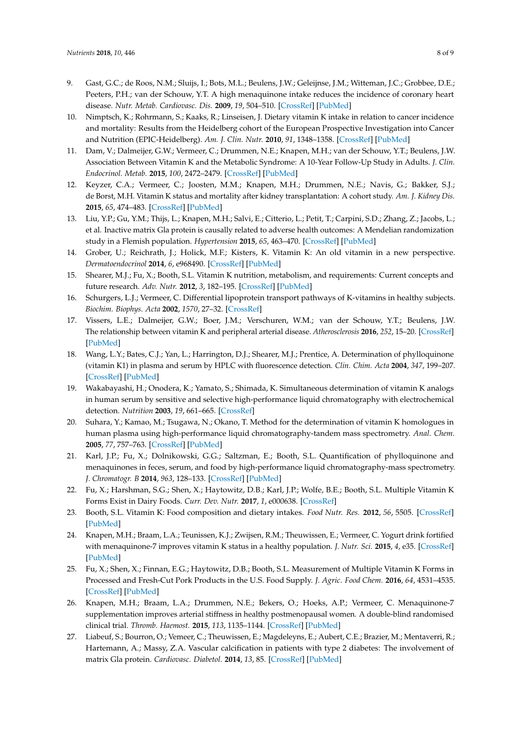- <span id="page-7-13"></span>9. Gast, G.C.; de Roos, N.M.; Sluijs, I.; Bots, M.L.; Beulens, J.W.; Geleijnse, J.M.; Witteman, J.C.; Grobbee, D.E.; Peeters, P.H.; van der Schouw, Y.T. A high menaquinone intake reduces the incidence of coronary heart disease. *Nutr. Metab. Cardiovasc. Dis.* **2009**, *19*, 504–510. [\[CrossRef\]](http://dx.doi.org/10.1016/j.numecd.2008.10.004) [\[PubMed\]](http://www.ncbi.nlm.nih.gov/pubmed/19179058)
- <span id="page-7-3"></span>10. Nimptsch, K.; Rohrmann, S.; Kaaks, R.; Linseisen, J. Dietary vitamin K intake in relation to cancer incidence and mortality: Results from the Heidelberg cohort of the European Prospective Investigation into Cancer and Nutrition (EPIC-Heidelberg). *Am. J. Clin. Nutr.* **2010**, *91*, 1348–1358. [\[CrossRef\]](http://dx.doi.org/10.3945/ajcn.2009.28691) [\[PubMed\]](http://www.ncbi.nlm.nih.gov/pubmed/20335553)
- <span id="page-7-15"></span>11. Dam, V.; Dalmeijer, G.W.; Vermeer, C.; Drummen, N.E.; Knapen, M.H.; van der Schouw, Y.T.; Beulens, J.W. Association Between Vitamin K and the Metabolic Syndrome: A 10-Year Follow-Up Study in Adults. *J. Clin. Endocrinol. Metab.* **2015**, *100*, 2472–2479. [\[CrossRef\]](http://dx.doi.org/10.1210/jc.2014-4449) [\[PubMed\]](http://www.ncbi.nlm.nih.gov/pubmed/25835288)
- 12. Keyzer, C.A.; Vermeer, C.; Joosten, M.M.; Knapen, M.H.; Drummen, N.E.; Navis, G.; Bakker, S.J.; de Borst, M.H. Vitamin K status and mortality after kidney transplantation: A cohort study. *Am. J. Kidney Dis.* **2015**, *65*, 474–483. [\[CrossRef\]](http://dx.doi.org/10.1053/j.ajkd.2014.09.014) [\[PubMed\]](http://www.ncbi.nlm.nih.gov/pubmed/25453995)
- <span id="page-7-16"></span>13. Liu, Y.P.; Gu, Y.M.; Thijs, L.; Knapen, M.H.; Salvi, E.; Citterio, L.; Petit, T.; Carpini, S.D.; Zhang, Z.; Jacobs, L.; et al. Inactive matrix Gla protein is causally related to adverse health outcomes: A Mendelian randomization study in a Flemish population. *Hypertension* **2015**, *65*, 463–470. [\[CrossRef\]](http://dx.doi.org/10.1161/HYPERTENSIONAHA.114.04494) [\[PubMed\]](http://www.ncbi.nlm.nih.gov/pubmed/25421980)
- <span id="page-7-0"></span>14. Grober, U.; Reichrath, J.; Holick, M.F.; Kisters, K. Vitamin K: An old vitamin in a new perspective. *Dermatoendocrinol* **2014**, *6*, e968490. [\[CrossRef\]](http://dx.doi.org/10.4161/19381972.2014.968490) [\[PubMed\]](http://www.ncbi.nlm.nih.gov/pubmed/26413183)
- <span id="page-7-1"></span>15. Shearer, M.J.; Fu, X.; Booth, S.L. Vitamin K nutrition, metabolism, and requirements: Current concepts and future research. *Adv. Nutr.* **2012**, *3*, 182–195. [\[CrossRef\]](http://dx.doi.org/10.3945/an.111.001800) [\[PubMed\]](http://www.ncbi.nlm.nih.gov/pubmed/22516726)
- <span id="page-7-2"></span>16. Schurgers, L.J.; Vermeer, C. Differential lipoprotein transport pathways of K-vitamins in healthy subjects. *Biochim. Biophys. Acta* **2002**, *1570*, 27–32. [\[CrossRef\]](http://dx.doi.org/10.1016/S0304-4165(02)00147-2)
- <span id="page-7-4"></span>17. Vissers, L.E.; Dalmeijer, G.W.; Boer, J.M.; Verschuren, W.M.; van der Schouw, Y.T.; Beulens, J.W. The relationship between vitamin K and peripheral arterial disease. *Atherosclerosis* **2016**, *252*, 15–20. [\[CrossRef\]](http://dx.doi.org/10.1016/j.atherosclerosis.2016.07.915) [\[PubMed\]](http://www.ncbi.nlm.nih.gov/pubmed/27494446)
- <span id="page-7-5"></span>18. Wang, L.Y.; Bates, C.J.; Yan, L.; Harrington, D.J.; Shearer, M.J.; Prentice, A. Determination of phylloquinone (vitamin K1) in plasma and serum by HPLC with fluorescence detection. *Clin. Chim. Acta* **2004**, *347*, 199–207. [\[CrossRef\]](http://dx.doi.org/10.1016/j.cccn.2004.04.030) [\[PubMed\]](http://www.ncbi.nlm.nih.gov/pubmed/15313159)
- <span id="page-7-6"></span>19. Wakabayashi, H.; Onodera, K.; Yamato, S.; Shimada, K. Simultaneous determination of vitamin K analogs in human serum by sensitive and selective high-performance liquid chromatography with electrochemical detection. *Nutrition* **2003**, *19*, 661–665. [\[CrossRef\]](http://dx.doi.org/10.1016/S0899-9007(03)00056-X)
- <span id="page-7-7"></span>20. Suhara, Y.; Kamao, M.; Tsugawa, N.; Okano, T. Method for the determination of vitamin K homologues in human plasma using high-performance liquid chromatography-tandem mass spectrometry. *Anal. Chem.* **2005**, *77*, 757–763. [\[CrossRef\]](http://dx.doi.org/10.1021/ac0489667) [\[PubMed\]](http://www.ncbi.nlm.nih.gov/pubmed/15679341)
- <span id="page-7-8"></span>21. Karl, J.P.; Fu, X.; Dolnikowski, G.G.; Saltzman, E.; Booth, S.L. Quantification of phylloquinone and menaquinones in feces, serum, and food by high-performance liquid chromatography-mass spectrometry. *J. Chromatogr. B* **2014**, *963*, 128–133. [\[CrossRef\]](http://dx.doi.org/10.1016/j.jchromb.2014.05.056) [\[PubMed\]](http://www.ncbi.nlm.nih.gov/pubmed/24956079)
- <span id="page-7-9"></span>22. Fu, X.; Harshman, S.G.; Shen, X.; Haytowitz, D.B.; Karl, J.P.; Wolfe, B.E.; Booth, S.L. Multiple Vitamin K Forms Exist in Dairy Foods. *Curr. Dev. Nutr.* **2017**, *1*, e000638. [\[CrossRef\]](http://dx.doi.org/10.3945/cdn.117.000638)
- <span id="page-7-10"></span>23. Booth, S.L. Vitamin K: Food composition and dietary intakes. *Food Nutr. Res.* **2012**, *56*, 5505. [\[CrossRef\]](http://dx.doi.org/10.3402/fnr.v56i0.5505) [\[PubMed\]](http://www.ncbi.nlm.nih.gov/pubmed/22489217)
- <span id="page-7-11"></span>24. Knapen, M.H.; Braam, L.A.; Teunissen, K.J.; Zwijsen, R.M.; Theuwissen, E.; Vermeer, C. Yogurt drink fortified with menaquinone-7 improves vitamin K status in a healthy population. *J. Nutr. Sci.* **2015**, *4*, e35. [\[CrossRef\]](http://dx.doi.org/10.1017/jns.2015.25) [\[PubMed\]](http://www.ncbi.nlm.nih.gov/pubmed/26495126)
- <span id="page-7-12"></span>25. Fu, X.; Shen, X.; Finnan, E.G.; Haytowitz, D.B.; Booth, S.L. Measurement of Multiple Vitamin K Forms in Processed and Fresh-Cut Pork Products in the U.S. Food Supply. *J. Agric. Food Chem.* **2016**, *64*, 4531–4535. [\[CrossRef\]](http://dx.doi.org/10.1021/acs.jafc.6b00938) [\[PubMed\]](http://www.ncbi.nlm.nih.gov/pubmed/27191033)
- <span id="page-7-14"></span>26. Knapen, M.H.; Braam, L.A.; Drummen, N.E.; Bekers, O.; Hoeks, A.P.; Vermeer, C. Menaquinone-7 supplementation improves arterial stiffness in healthy postmenopausal women. A double-blind randomised clinical trial. *Thromb. Haemost.* **2015**, *113*, 1135–1144. [\[CrossRef\]](http://dx.doi.org/10.1160/TH14-08-0675) [\[PubMed\]](http://www.ncbi.nlm.nih.gov/pubmed/25694037)
- <span id="page-7-17"></span>27. Liabeuf, S.; Bourron, O.; Vemeer, C.; Theuwissen, E.; Magdeleyns, E.; Aubert, C.E.; Brazier, M.; Mentaverri, R.; Hartemann, A.; Massy, Z.A. Vascular calcification in patients with type 2 diabetes: The involvement of matrix Gla protein. *Cardiovasc. Diabetol.* **2014**, *13*, 85. [\[CrossRef\]](http://dx.doi.org/10.1186/1475-2840-13-85) [\[PubMed\]](http://www.ncbi.nlm.nih.gov/pubmed/24762216)